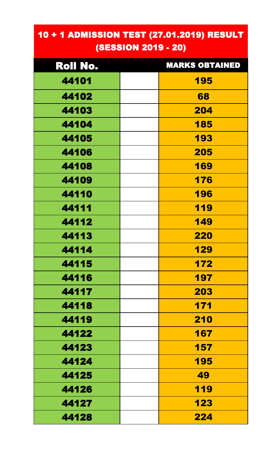## 10 + 1 ADMISSION TEST (27.01.2019) RESULT (SESSION 2019 - 20)

| Roll No. | <b>MARKS OBTAINED</b> |
|----------|-----------------------|
| 44101    | 195                   |
| 44102    | 68                    |
| 44103    | 204                   |
| 44104    | 185                   |
| 44105    | 193                   |
| 44106    | 205                   |
| 44108    | 169                   |
| 44109    | 176                   |
| 44110    | 196                   |
| 44111    | 119                   |
| 44112    | 149                   |
| 44113    | <b>220</b>            |
| 44114    | 129                   |
| 44115    | 172                   |
| 44116    | 197                   |
| 44117    | 203                   |
| 44118    | 171                   |
| 44119    | 210                   |
| 44122    | 167                   |
| 44123    | 157                   |
| 44124    | 195                   |
| 44125    | 49                    |
| 44126    | 119                   |
| 44127    | 123                   |
| 44128    | 224                   |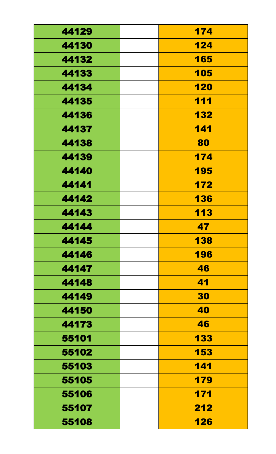| 44129 | 174        |
|-------|------------|
| 44130 | 124        |
| 44132 | 165        |
| 44133 | 105        |
| 44134 | 120        |
| 44135 | 111        |
| 44136 | 132        |
| 44137 | 141        |
| 44138 | 80         |
| 44139 | 174        |
| 44140 | 195        |
| 44141 | 172        |
| 44142 | <b>136</b> |
| 44143 | 113        |
| 44144 | 47         |
| 44145 | 138        |
| 44146 | 196        |
| 44147 | 46         |
| 44148 | 41         |
| 44149 | 30         |
| 44150 | 40         |
| 44173 | 46         |
| 55101 | 133        |
| 55102 | 153        |
| 55103 | 141        |
| 55105 | 179        |
| 55106 | 171        |
| 55107 | 212        |
| 55108 | 126        |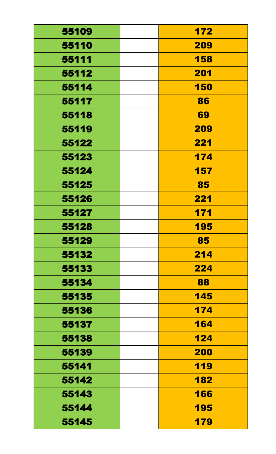| 55109 | 172 |
|-------|-----|
| 55110 | 209 |
| 55111 | 158 |
| 55112 | 201 |
| 55114 | 150 |
| 55117 | 86  |
| 55118 | 69  |
| 55119 | 209 |
| 55122 | 221 |
| 55123 | 174 |
| 55124 | 157 |
| 55125 | 85  |
| 55126 | 221 |
| 55127 | 171 |
| 55128 | 195 |
| 55129 | 85  |
| 55132 | 214 |
| 55133 | 224 |
| 55134 | 88  |
| 55135 | 145 |
| 55136 | 174 |
| 55137 | 164 |
| 55138 | 124 |
| 55139 | 200 |
| 55141 | 119 |
| 55142 | 182 |
| 55143 | 166 |
| 55144 | 195 |
| 55145 | 179 |